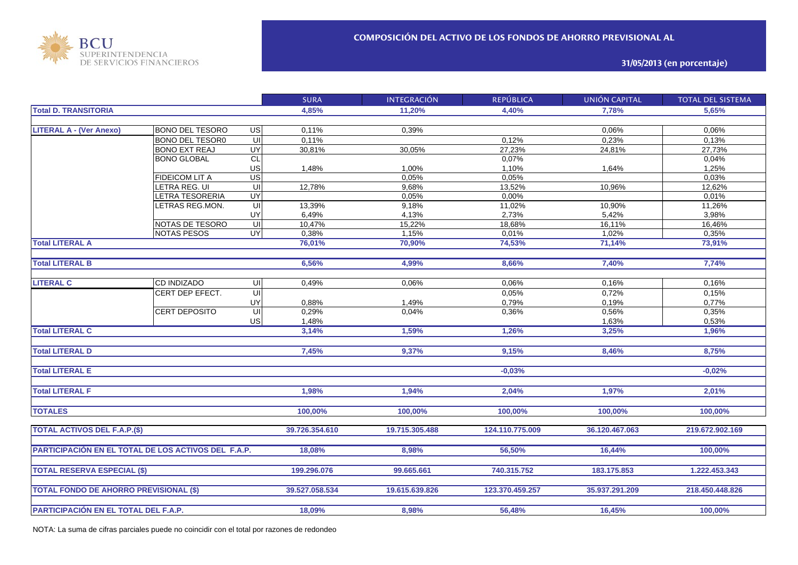

**31/05/2013 (en porcentaje)**

|                                                     |                        |                         | <b>SURA</b>    | <b>INTEGRACIÓN</b> | <b>REPÚBLICA</b> | <b>UNIÓN CAPITAL</b> | <b>TOTAL DEL SISTEMA</b> |
|-----------------------------------------------------|------------------------|-------------------------|----------------|--------------------|------------------|----------------------|--------------------------|
| <b>Total D. TRANSITORIA</b>                         |                        |                         | 4,85%          | 11.20%             | 4,40%            | 7,78%                | 5.65%                    |
|                                                     |                        |                         |                |                    |                  |                      |                          |
| <b>LITERAL A - (Ver Anexo)</b>                      | <b>BONO DEL TESORO</b> | US                      | 0,11%          | 0,39%              |                  | 0,06%                | 0,06%                    |
|                                                     | <b>BONO DEL TESOR0</b> | UI                      | 0,11%          |                    | 0,12%            | 0,23%                | 0,13%                    |
|                                                     | <b>BONO EXT REAJ</b>   | UY                      | 30,81%         | 30,05%             | 27,23%           | 24,81%               | 27,73%                   |
|                                                     | <b>BONO GLOBAL</b>     | CL                      |                |                    | 0,07%            |                      | 0,04%                    |
|                                                     |                        | US                      | 1,48%          | 1,00%              | 1,10%            | 1,64%                | 1,25%                    |
|                                                     | FIDEICOM LIT A         | US                      |                | 0,05%              | 0,05%            |                      | 0,03%                    |
|                                                     | LETRA REG. UI          | $\overline{\mathsf{C}}$ | 12,78%         | 9,68%              | 13,52%           | 10,96%               | 12,62%                   |
|                                                     | <b>ETRA TESORERIA</b>  | Ç                       |                | 0.05%              | 0,00%            |                      | 0,01%                    |
|                                                     | <b>ETRAS REG.MON.</b>  | $\overline{U}$          | 13,39%         | 9,18%              | 11,02%           | 10,90%               | 11,26%                   |
|                                                     |                        | UY                      | 6,49%          | 4,13%              | 2,73%            | 5,42%                | 3,98%                    |
|                                                     | NOTAS DE TESORO        | $\overline{\mathsf{U}}$ | 10,47%         | 15,22%             | 18,68%           | 16,11%               | 16,46%                   |
|                                                     | <b>NOTAS PESOS</b>     | UY                      | 0,38%          | 1,15%              | 0,01%            | 1,02%                | 0,35%                    |
| <b>Total LITERAL A</b>                              |                        |                         | 76,01%         | 70,90%             | 74,53%           | 71,14%               | 73,91%                   |
|                                                     |                        |                         |                |                    |                  |                      |                          |
| <b>Total LITERAL B</b>                              |                        |                         | 6,56%          | 4,99%              | 8,66%            | 7,40%                | 7,74%                    |
|                                                     |                        |                         |                |                    |                  |                      |                          |
| <b>LITERAL C</b>                                    | <b>CD INDIZADO</b>     | UI                      | 0,49%          | 0,06%              | 0,06%            | 0,16%                | 0,16%                    |
|                                                     | CERT DEP EFECT.        | $\overline{U}$          |                |                    | 0,05%            | 0,72%                | 0,15%                    |
|                                                     |                        | UY                      | 0,88%          | 1,49%              | 0,79%            | 0,19%                | 0,77%                    |
|                                                     | <b>CERT DEPOSITO</b>   | $\overline{U}$          | 0,29%          | 0,04%              | 0,36%            | 0,56%                | 0,35%                    |
|                                                     |                        | <b>US</b>               | 1,48%          |                    |                  | 1,63%                | 0,53%                    |
| <b>Total LITERAL C</b>                              |                        |                         | 3,14%          | 1,59%              | 1,26%            | 3,25%                | 1,96%                    |
|                                                     |                        |                         |                |                    |                  |                      |                          |
| <b>Total LITERAL D</b>                              |                        |                         | 7,45%          | 9,37%              | 9,15%            | 8,46%                | 8,75%                    |
|                                                     |                        |                         |                |                    |                  |                      |                          |
| <b>Total LITERAL E</b>                              |                        |                         |                |                    | $-0.03%$         |                      | $-0.02%$                 |
|                                                     |                        |                         |                |                    |                  |                      |                          |
| <b>Total LITERAL F</b>                              |                        |                         | 1.98%          | 1,94%              | 2,04%            | 1,97%                | 2,01%                    |
|                                                     |                        |                         |                |                    |                  |                      |                          |
| <b>TOTALES</b>                                      |                        |                         | 100,00%        | 100,00%            | 100,00%          | 100,00%              | 100,00%                  |
|                                                     |                        |                         |                |                    |                  |                      |                          |
| <b>TOTAL ACTIVOS DEL F.A.P.(\$)</b>                 |                        |                         | 39.726.354.610 | 19.715.305.488     | 124.110.775.009  | 36.120.467.063       | 219.672.902.169          |
|                                                     |                        |                         |                |                    |                  |                      |                          |
| PARTICIPACIÓN EN EL TOTAL DE LOS ACTIVOS DEL F.A.P. |                        |                         | 18,08%         | 8,98%              | 56,50%           | 16,44%               | 100,00%                  |
|                                                     |                        |                         |                |                    |                  |                      |                          |
| <b>TOTAL RESERVA ESPECIAL (\$)</b>                  |                        |                         | 199.296.076    | 99.665.661         | 740.315.752      | 183.175.853          | 1.222.453.343            |
|                                                     |                        |                         |                |                    |                  |                      |                          |
| <b>TOTAL FONDO DE AHORRO PREVISIONAL (\$)</b>       |                        |                         | 39.527.058.534 | 19.615.639.826     | 123.370.459.257  | 35.937.291.209       | 218.450.448.826          |
|                                                     |                        |                         |                |                    |                  |                      |                          |
| PARTICIPACIÓN EN EL TOTAL DEL F.A.P.                |                        |                         | 18,09%         | 8,98%              | 56,48%           | 16,45%               | 100,00%                  |

NOTA: La suma de cifras parciales puede no coincidir con el total por razones de redondeo